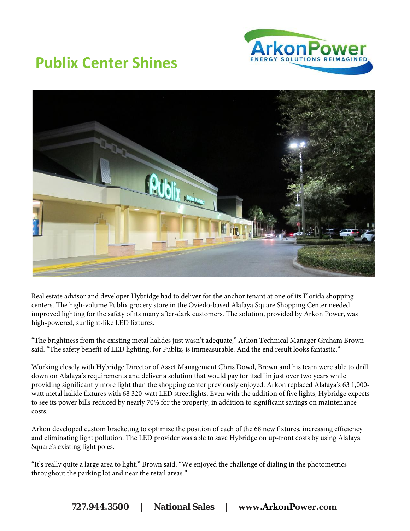

## **Publix Center Shines**



Real estate advisor and developer Hybridge had to deliver for the anchor tenant at one of its Florida shopping centers. The high-volume Publix grocery store in the Oviedo-based Alafaya Square Shopping Center needed improved lighting for the safety of its many after-dark customers. The solution, provided by Arkon Power, was high-powered, sunlight-like LED fixtures.

"The brightness from the existing metal halides just wasn't adequate," Arkon Technical Manager Graham Brown said. "The safety benefit of LED lighting, for Publix, is immeasurable. And the end result looks fantastic."

Working closely with Hybridge Director of Asset Management Chris Dowd, Brown and his team were able to drill down on Alafaya's requirements and deliver a solution that would pay for itself in just over two years while providing significantly more light than the shopping center previously enjoyed. Arkon replaced Alafaya's 63 1,000 watt metal halide fixtures with 68 320-watt LED streetlights. Even with the addition of five lights, Hybridge expects to see its power bills reduced by nearly 70% for the property, in addition to significant savings on maintenance costs.

Arkon developed custom bracketing to optimize the position of each of the 68 new fixtures, increasing efficiency and eliminating light pollution. The LED provider was able to save Hybridge on up-front costs by using Alafaya Square's existing light poles.

"It's really quite a large area to light," Brown said. "We enjoyed the challenge of dialing in the photometrics throughout the parking lot and near the retail areas."